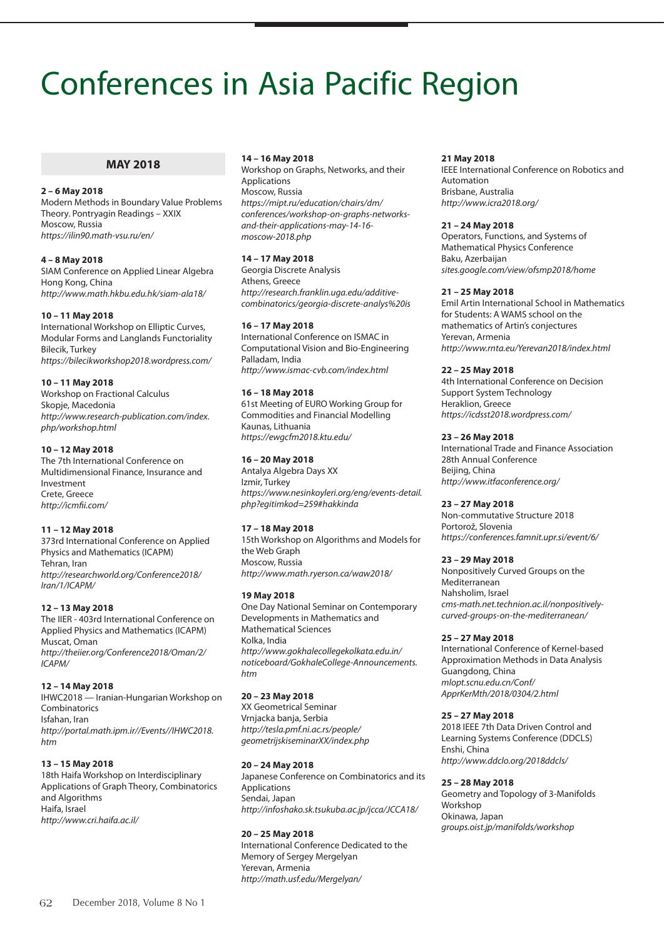# Conferences in Asia Pacific Region

#### **MAY 2018**

#### **2 – 6 May 2018**

Modern Methods in Boundary Value Problems Theory. Pontryagin Readings – XXIX Moscow, Russia *https://ilin90.math-vsu.ru/en/* 

#### **4 – 8 May 2018**

SIAM Conference on Applied Linear Algebra Hong Kong, China *http://www.math.hkbu.edu.hk/siam-ala18/* 

#### **10 – 11 May 2018**

International Workshop on Elliptic Curves, Modular Forms and Langlands Functoriality Bilecik, Turkey *https://bilecikworkshop2018.wordpress.com/*

# **10 – 11 May 2018**

Workshop on Fractional Calculus Skopje, Macedonia *http://www.research-publication.com/index. php/workshop.html*

#### **10 – 12 May 2018**

The 7th International Conference on Multidimensional Finance, Insurance and Investment Crete, Greece *http://icmfii.com/*

#### **11 – 12 May 2018**

373rd International Conference on Applied Physics and Mathematics (ICAPM) Tehran, Iran *http://researchworld.org/Conference2018/ Iran/1/ICAPM/*

#### **12 – 13 May 2018**

The IIER - 403rd International Conference on Applied Physics and Mathematics (ICAPM) Muscat, Oman *http://theiier.org/Conference2018/Oman/2/ ICAPM/*

#### **12 – 14 May 2018**

IHWC2018 — Iranian-Hungarian Workshop on Combinatorics Isfahan, Iran *http://portal.math.ipm.ir//Events//IHWC2018. htm*

# **13 – 15 May 2018**

18th Haifa Workshop on Interdisciplinary Applications of Graph Theory, Combinatorics and Algorithms Haifa, Israel *http://www.cri.haifa.ac.il/*

#### **14 – 16 May 2018**

Workshop on Graphs, Networks, and their Applications Moscow, Russia *https://mipt.ru/education/chairs/dm/ conferences/workshop-on-graphs-networksand-their-applications-may-14-16 moscow-2018.php* 

#### **14 – 17 May 2018**

Georgia Discrete Analysis Athens, Greece *http://research.franklin.uga.edu/additivecombinatorics/georgia-discrete-analys%20is*

#### **16 – 17 May 2018**

International Conference on ISMAC in Computational Vision and Bio-Engineering Palladam, India *http://www.ismac-cvb.com/index.html*

#### **16 – 18 May 2018**

61st Meeting of EURO Working Group for Commodities and Financial Modelling Kaunas, Lithuania *https://ewgcfm2018.ktu.edu/*

#### **16 – 20 May 2018**

Antalya Algebra Days XX Izmir, Turkey *https://www.nesinkoyleri.org/eng/events-detail. php?egitimkod=259#hakkinda*

#### **17 – 18 May 2018**

15th Workshop on Algorithms and Models for the Web Graph Moscow, Russia *http://www.math.ryerson.ca/waw2018/* 

#### **19 May 2018**

One Day National Seminar on Contemporary Developments in Mathematics and Mathematical Sciences Kolka, India *http://www.gokhalecollegekolkata.edu.in/ noticeboard/GokhaleCollege-Announcements. htm*

#### **20 – 23 May 2018**

XX Geometrical Seminar Vrnjacka banja, Serbia *http://tesla.pmf.ni.ac.rs/people/ geometrijskiseminarXX/index.php*

#### **20 – 24 May 2018**

Japanese Conference on Combinatorics and its Applications Sendai, Japan *http://infoshako.sk.tsukuba.ac.jp/jcca/JCCA18/* 

#### **20 – 25 May 2018**

International Conference Dedicated to the Memory of Sergey Mergelyan Yerevan, Armenia *http://math.usf.edu/Mergelyan/*

#### **21 May 2018**

IEEE International Conference on Robotics and Automation Brisbane, Australia *http://www.icra2018.org/*

#### **21 – 24 May 2018**

Operators, Functions, and Systems of Mathematical Physics Conference Baku, Azerbaijan *sites.google.com/view/ofsmp2018/home*

#### **21 – 25 May 2018**

Emil Artin International School in Mathematics for Students: A WAMS school on the mathematics of Artin's conjectures Yerevan, Armenia *http://www.rnta.eu/Yerevan2018/index.html*

#### **22 – 25 May 2018**

4th International Conference on Decision Support System Technology Heraklion, Greece *https://icdsst2018.wordpress.com/*

#### **23 – 26 May 2018**

International Trade and Finance Association 28th Annual Conference Beijing, China *http://www.itfaconference.org/*

#### **23 – 27 May 2018**

Non-commutative Structure 2018 Portorož, Slovenia *https://conferences.famnit.upr.si/event/6/*

#### **23 – 29 May 2018**

Nonpositively Curved Groups on the Mediterranean Nahsholim, Israel *cms-math.net.technion.ac.il/nonpositivelycurved-groups-on-the-mediterranean/*

#### **25 – 27 May 2018**

International Conference of Kernel-based Approximation Methods in Data Analysis Guangdong, China *mlopt.scnu.edu.cn/Conf/ ApprKerMth/2018/0304/2.html*

#### **25 – 27 May 2018**

2018 IEEE 7th Data Driven Control and Learning Systems Conference (DDCLS) Enshi, China *http://www.ddclo.org/2018ddcls/*

#### **25 – 28 May 2018**

Geometry and Topology of 3-Manifolds Workshop Okinawa, Japan *groups.oist.jp/manifolds/workshop*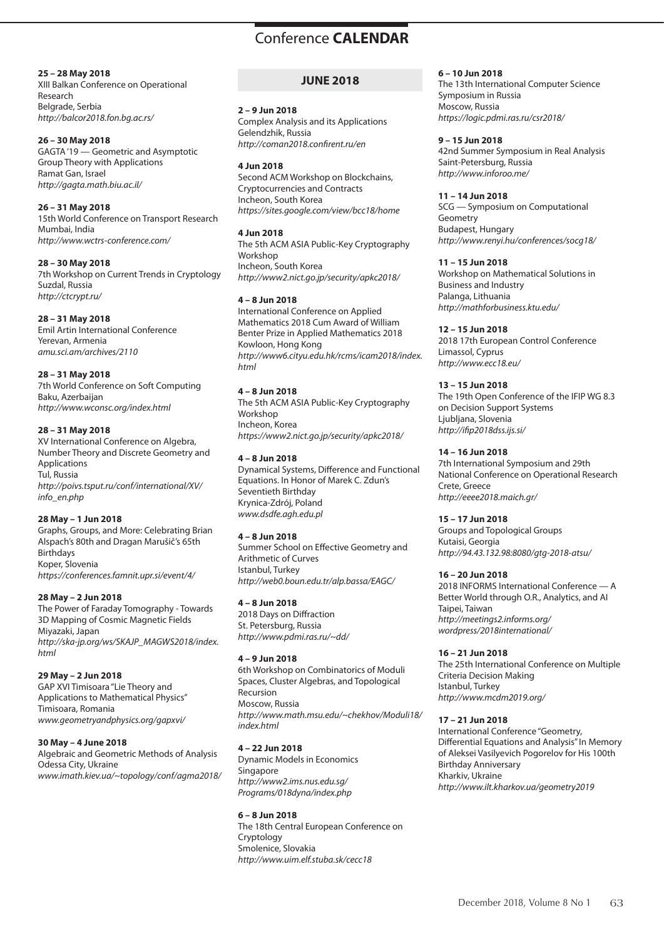#### **25 – 28 May 2018**

XIII Balkan Conference on Operational Research Belgrade, Serbia *http://balcor2018.fon.bg.ac.rs/*

#### **26 – 30 May 2018**

GAGTA '19 — Geometric and Asymptotic Group Theory with Applications Ramat Gan, Israel *http://gagta.math.biu.ac.il/*

#### **26 – 31 May 2018**

15th World Conference on Transport Research Mumbai, India *http://www.wctrs-conference.com/*

#### **28 – 30 May 2018**

7th Workshop on Current Trends in Cryptology Suzdal, Russia *http://ctcrypt.ru/*

## **28 – 31 May 2018**

Emil Artin International Conference Yerevan, Armenia *amu.sci.am/archives/2110*

## **28 – 31 May 2018**

7th World Conference on Soft Computing Baku, Azerbaijan *http://www.wconsc.org/index.html* 

## **28 – 31 May 2018**

XV International Conference on Algebra, Number Theory and Discrete Geometry and Applications Tul, Russia *http://poivs.tsput.ru/conf/international/XV/ info\_en.php*

# **28 May – 1 Jun 2018**

Graphs, Groups, and More: Celebrating Brian Alspach's 80th and Dragan Marušič's 65th Birthdays Koper, Slovenia *https://conferences.famnit.upr.si/event/4/*

# **28 May – 2 Jun 2018**

The Power of Faraday Tomography - Towards 3D Mapping of Cosmic Magnetic Fields Miyazaki, Japan *http://ska-jp.org/ws/SKAJP\_MAGWS2018/index. html*

# **29 May – 2 Jun 2018**

GAP XVI Timisoara "Lie Theory and Applications to Mathematical Physics" Timisoara, Romania *www.geometryandphysics.org/gapxvi/*

# **30 May – 4 June 2018**

Algebraic and Geometric Methods of Analysis Odessa City, Ukraine *www.imath.kiev.ua/~topology/conf/agma2018/*

# **JUNE 2018**

#### **2 – 9 Jun 2018**

Complex Analysis and its Applications Gelendzhik, Russia *http://coman2018.confirent.ru/en* 

## **4 Jun 2018**

Second ACM Workshop on Blockchains, Cryptocurrencies and Contracts Incheon, South Korea *https://sites.google.com/view/bcc18/home*

## **4 Jun 2018**

The 5th ACM ASIA Public-Key Cryptography Workshop Incheon, South Korea *http://www2.nict.go.jp/security/apkc2018/*

## **4 – 8 Jun 2018**

International Conference on Applied Mathematics 2018 Cum Award of William Benter Prize in Applied Mathematics 2018 Kowloon, Hong Kong *http://www6.cityu.edu.hk/rcms/icam2018/index. html*

# **4 – 8 Jun 2018**

The 5th ACM ASIA Public-Key Cryptography Workshop Incheon, Korea *https://www2.nict.go.jp/security/apkc2018/* 

## **4 – 8 Jun 2018**

Dynamical Systems, Difference and Functional Equations. In Honor of Marek C. Zdun's Seventieth Birthday Krynica-Zdrój, Poland *www.dsdfe.agh.edu.pl*

# **4 – 8 Jun 2018**

Summer School on Effective Geometry and Arithmetic of Curves Istanbul, Turkey *http://web0.boun.edu.tr/alp.bassa/EAGC/*

# **4 – 8 Jun 2018**

2018 Days on Diffraction St. Petersburg, Russia *http://www.pdmi.ras.ru/~dd/*

#### **4 – 9 Jun 2018**

6th Workshop on Combinatorics of Moduli Spaces, Cluster Algebras, and Topological Recursion Moscow, Russia *http://www.math.msu.edu/~chekhov/Moduli18/ index.html*

# **4 – 22 Jun 2018**

Dynamic Models in Economics Singapore *http://www2.ims.nus.edu.sg/ Programs/018dyna/index.php*

# **6 – 8 Jun 2018**

The 18th Central European Conference on **Cryptology** Smolenice, Slovakia *http://www.uim.elf.stuba.sk/cecc18*

### **6 – 10 Jun 2018**

The 13th International Computer Science Symposium in Russia Moscow, Russia *https://logic.pdmi.ras.ru/csr2018/* 

#### **9 – 15 Jun 2018**

42nd Summer Symposium in Real Analysis Saint-Petersburg, Russia *http://www.inforoo.me/*

## **11 – 14 Jun 2018**

SCG — Symposium on Computational Geometry Budapest, Hungary *http://www.renyi.hu/conferences/socg18/*

#### **11 – 15 Jun 2018**

Workshop on Mathematical Solutions in Business and Industry Palanga, Lithuania *http://mathforbusiness.ktu.edu/*

## **12 – 15 Jun 2018**

2018 17th European Control Conference Limassol, Cyprus *http://www.ecc18.eu/*

## **13 – 15 Jun 2018**

The 19th Open Conference of the IFIP WG 8.3 on Decision Support Systems Ljubljana, Slovenia *http://ifip2018dss.ijs.si/*

## **14 – 16 Jun 2018**

7th International Symposium and 29th National Conference on Operational Research Crete, Greece *http://eeee2018.maich.gr/*

# **15 – 17 Jun 2018**

Groups and Topological Groups Kutaisi, Georgia *http://94.43.132.98:8080/gtg-2018-atsu/*

# **16 – 20 Jun 2018**

2018 INFORMS International Conference — A Better World through O.R., Analytics, and AI Taipei, Taiwan *http://meetings2.informs.org/ wordpress/2018international/*

# **16 – 21 Jun 2018**

The 25th International Conference on Multiple Criteria Decision Making Istanbul, Turkey *http://www.mcdm2019.org/*

#### **17 – 21 Jun 2018**

International Conference "Geometry, Differential Equations and Analysis" In Memory of Aleksei Vasilyevich Pogorelov for His 100th Birthday Anniversary Kharkiv, Ukraine *http://www.ilt.kharkov.ua/geometry2019*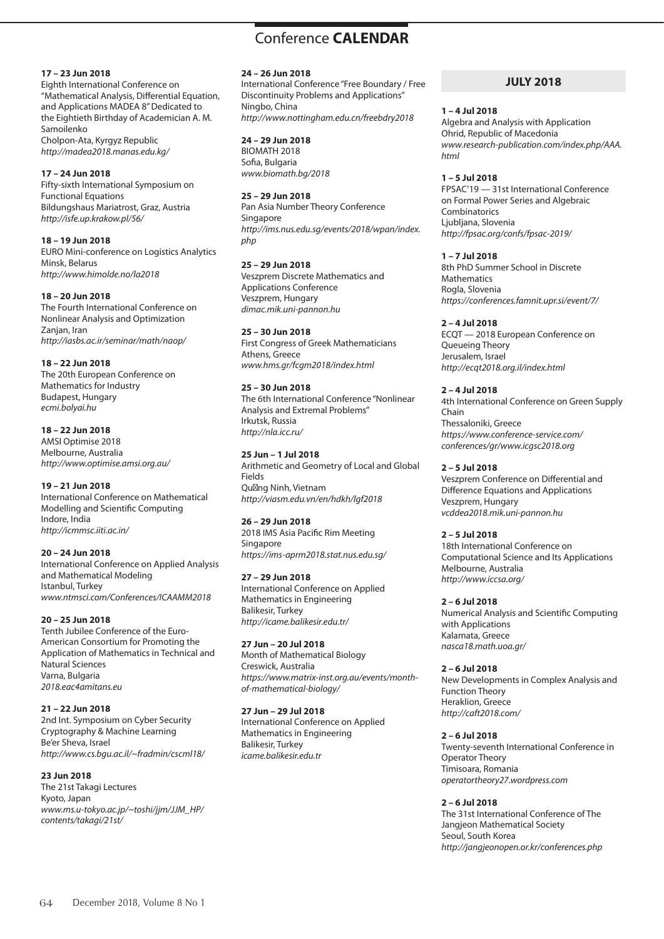#### **17 – 23 Jun 2018**

Eighth International Conference on "Mathematical Analysis, Differential Equation, and Applications MADEA 8" Dedicated to the Eightieth Birthday of Academician A. M. Samoilenko Cholpon-Ata, Kyrgyz Republic

*http://madea2018.manas.edu.kg/*

## **17 – 24 Jun 2018**

Fifty-sixth International Symposium on Functional Equations Bildungshaus Mariatrost, Graz, Austria *http://isfe.up.krakow.pl/56/*

**18 – 19 Jun 2018**

EURO Mini-conference on Logistics Analytics Minsk, Belarus *http://www.himolde.no/la2018*

**18 – 20 Jun 2018**

The Fourth International Conference on Nonlinear Analysis and Optimization Zanjan, Iran *http://iasbs.ac.ir/seminar/math/naop/*

**18 – 22 Jun 2018**

The 20th European Conference on Mathematics for Industry Budapest, Hungary *ecmi.bolyai.hu*

# **18 – 22 Jun 2018**

AMSI Optimise 2018 Melbourne, Australia *http://www.optimise.amsi.org.au/*

# **19 – 21 Jun 2018**

International Conference on Mathematical Modelling and Scientific Computing Indore, India *http://icmmsc.iiti.ac.in/*

# **20 – 24 Jun 2018**

International Conference on Applied Analysis and Mathematical Modeling Istanbul, Turkey *www.ntmsci.com/Conferences/ICAAMM2018*

# **20 – 25 Jun 2018**

Tenth Jubilee Conference of the Euro-American Consortium for Promoting the Application of Mathematics in Technical and Natural Sciences Varna, Bulgaria *2018.eac4amitans.eu*

# **21 – 22 Jun 2018**

*contents/takagi/21st/*

2nd Int. Symposium on Cyber Security Cryptography & Machine Learning Be'er Sheva, Israel *http://www.cs.bgu.ac.il/~fradmin/cscml18/*

**23 Jun 2018** The 21st Takagi Lectures Kyoto, Japan *www.ms.u-tokyo.ac.jp/~toshi/jjm/JJM\_HP/*

#### **24 – 26 Jun 2018**

International Conference "Free Boundary / Free Discontinuity Problems and Applications" Ningbo, China *http://www.nottingham.edu.cn/freebdry2018*

## **24 – 29 Jun 2018**

BIOMATH 2018 Sofia, Bulgaria *www.biomath.bg/2018*

#### **25 – 29 Jun 2018**

Pan Asia Number Theory Conference Singapore *http://ims.nus.edu.sg/events/2018/wpan/index. php*

**25 – 29 Jun 2018** Veszprem Discrete Mathematics and Applications Conference Veszprem, Hungary *dimac.mik.uni-pannon.hu*

## **25 – 30 Jun 2018**

First Congress of Greek Mathematicians Athens, Greece *www.hms.gr/fcgm2018/index.html*

# **25 – 30 Jun 2018**

The 6th International Conference "Nonlinear Analysis and Extremal Problems" Irkutsk, Russia *http://nla.icc.ru/*

## **25 Jun – 1 Jul 2018**

Arithmetic and Geometry of Local and Global Fields Qu ng Ninh, Vietnam *http://viasm.edu.vn/en/hdkh/lgf2018*

# **26 – 29 Jun 2018**

2018 IMS Asia Pacific Rim Meeting Singapore *https://ims-aprm2018.stat.nus.edu.sg/*

# **27 – 29 Jun 2018**

International Conference on Applied Mathematics in Engineering Balikesir, Turkey *http://icame.balikesir.edu.tr/* 

**27 Jun – 20 Jul 2018**

Month of Mathematical Biology Creswick, Australia *https://www.matrix-inst.org.au/events/monthof-mathematical-biology/* 

#### **27 Jun – 29 Jul 2018**

International Conference on Applied Mathematics in Engineering Balikesir, Turkey *icame.balikesir.edu.tr*

# **JULY 2018**

#### **1 – 4 Jul 2018**

Algebra and Analysis with Application Ohrid, Republic of Macedonia *www.research-publication.com/index.php/AAA. html*

**1 – 5 Jul 2018**

FPSAC'19 — 31st International Conference on Formal Power Series and Algebraic Combinatorics Liubliana, Slovenia *http://fpsac.org/confs/fpsac-2019/*

**1 – 7 Jul 2018**

8th PhD Summer School in Discrete **Mathematics** Rogla, Slovenia *https://conferences.famnit.upr.si/event/7/*

# **2 – 4 Jul 2018**

ECQT — 2018 European Conference on Queueing Theory Jerusalem, Israel *http://ecqt2018.org.il/index.html*

**2 – 4 Jul 2018**

4th International Conference on Green Supply Chain Thessaloniki, Greece *https://www.conference-service.com/ conferences/gr/www.icgsc2018.org*

# **2 – 5 Jul 2018**

Veszprem Conference on Differential and Difference Equations and Applications Veszprem, Hungary *vcddea2018.mik.uni-pannon.hu*

**2 – 5 Jul 2018**

18th International Conference on Computational Science and Its Applications Melbourne, Australia *http://www.iccsa.org/*

# **2 – 6 Jul 2018**

Numerical Analysis and Scientific Computing with Applications Kalamata, Greece *nasca18.math.uoa.gr/*

**2 – 6 Jul 2018** New Developments in Complex Analysis and Function Theory Heraklion, Greece *http://caft2018.com/*

#### **2 – 6 Jul 2018**

Twenty-seventh International Conference in Operator Theory Timisoara, Romania *operatortheory27.wordpress.com*

# **2 – 6 Jul 2018**

The 31st International Conference of The Jangjeon Mathematical Society Seoul, South Korea *http://jangjeonopen.or.kr/conferences.php*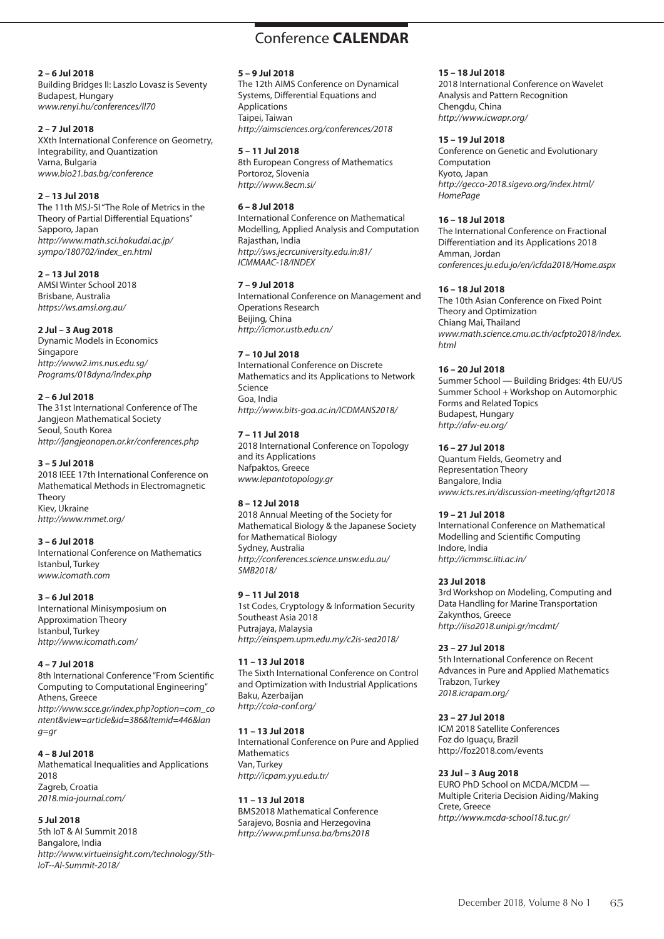# Conference **CALENDAR** Conference **CALENDAR**

#### **2 – 6 Jul 2018**

Building Bridges II: Laszlo Lovasz is Seventy Budapest, Hungary *www.renyi.hu/conferences/ll70*

# **2 – 7 Jul 2018**

XXth International Conference on Geometry, Integrability, and Quantization Varna, Bulgaria *www.bio21.bas.bg/conference*

# **2 – 13 Jul 2018**

The 11th MSJ-SI "The Role of Metrics in the Theory of Partial Differential Equations" Sapporo, Japan *http://www.math.sci.hokudai.ac.jp/ sympo/180702/index\_en.html*

#### **2 – 13 Jul 2018**

AMSI Winter School 2018 Brisbane, Australia *https://ws.amsi.org.au/*

## **2 Jul – 3 Aug 2018**

Dynamic Models in Economics Singapore *http://www2.ims.nus.edu.sg/ Programs/018dyna/index.php*

## **2 – 6 Jul 2018**

The 31st International Conference of The Jangjeon Mathematical Society Seoul, South Korea *http://jangjeonopen.or.kr/conferences.php*

# **3 – 5 Jul 2018**

2018 IEEE 17th International Conference on Mathematical Methods in Electromagnetic Theory Kiev, Ukraine *http://www.mmet.org/*

#### **3 – 6 Jul 2018**

International Conference on Mathematics Istanbul, Turkey *www.icomath.com*

# **3 – 6 Jul 2018**

International Minisymposium on Approximation Theory Istanbul, Turkey *http://www.icomath.com/*

# **4 – 7 Jul 2018**

8th International Conference "From Scientific Computing to Computational Engineering" Athens, Greece *http://www.scce.gr/index.php?option=com\_co ntent&view=article&id=386&Itemid=446&lan g=gr*

# **4 – 8 Jul 2018**

Mathematical Inequalities and Applications 2018 Zagreb, Croatia *2018.mia-journal.com/*

# **5 Jul 2018**

5th IoT & AI Summit 2018 Bangalore, India *http://www.virtueinsight.com/technology/5th-IoT--AI-Summit-2018/*

#### **5 – 9 Jul 2018**

The 12th AIMS Conference on Dynamical Systems, Differential Equations and Applications Taipei, Taiwan *http://aimsciences.org/conferences/2018*

#### **5 – 11 Jul 2018**

8th European Congress of Mathematics Portoroz, Slovenia *http://www.8ecm.si/*

# **6 – 8 Jul 2018**

International Conference on Mathematical Modelling, Applied Analysis and Computation Rajasthan, India *http://sws.jecrcuniversity.edu.in:81/ ICMMAAC-18/INDEX*

## **7 – 9 Jul 2018**

International Conference on Management and Operations Research Beijing, China *http://icmor.ustb.edu.cn/*

# **7 – 10 Jul 2018**

International Conference on Discrete Mathematics and its Applications to Network Science Goa, India *http://www.bits-goa.ac.in/ICDMANS2018/* 

# **7 – 11 Jul 2018**

2018 International Conference on Topology and its Applications Nafpaktos, Greece *www.lepantotopology.gr*

# **8 – 12 Jul 2018**

2018 Annual Meeting of the Society for Mathematical Biology & the Japanese Society for Mathematical Biology Sydney, Australia *http://conferences.science.unsw.edu.au/ SMB2018/* 

# **9 – 11 Jul 2018**

1st Codes, Cryptology & Information Security Southeast Asia 2018 Putrajaya, Malaysia *http://einspem.upm.edu.my/c2is-sea2018/* 

# **11 – 13 Jul 2018**

The Sixth International Conference on Control and Optimization with Industrial Applications Baku, Azerbaijan *http://coia-conf.org/*

# **11 – 13 Jul 2018**

International Conference on Pure and Applied **Mathematics** Van, Turkey *http://icpam.yyu.edu.tr/*

# **11 – 13 Jul 2018**

BMS2018 Mathematical Conference Sarajevo, Bosnia and Herzegovina *http://www.pmf.unsa.ba/bms2018*

#### **15 – 18 Jul 2018**

2018 International Conference on Wavelet Analysis and Pattern Recognition Chengdu, China *http://www.icwapr.org/*

#### **15 – 19 Jul 2018**

Conference on Genetic and Evolutionary Computation Kyoto, Japan *http://gecco-2018.sigevo.org/index.html/ HomePage*

#### **16 – 18 Jul 2018**

The International Conference on Fractional Differentiation and its Applications 2018 Amman, Jordan *conferences.ju.edu.jo/en/icfda2018/Home.aspx*

## **16 – 18 Jul 2018**

The 10th Asian Conference on Fixed Point Theory and Optimization Chiang Mai, Thailand *www.math.science.cmu.ac.th/acfpto2018/index. html*

## **16 – 20 Jul 2018**

Summer School — Building Bridges: 4th EU/US Summer School + Workshop on Automorphic Forms and Related Topics Budapest, Hungary *http://afw-eu.org/*

## **16 – 27 Jul 2018**

Quantum Fields, Geometry and Representation Theory Bangalore, India *www.icts.res.in/discussion-meeting/qftgrt2018*

# **19 – 21 Jul 2018**

International Conference on Mathematical Modelling and Scientific Computing Indore, India *http://icmmsc.iiti.ac.in/*

# **23 Jul 2018**

3rd Workshop on Modeling, Computing and Data Handling for Marine Transportation Zakynthos, Greece *http://iisa2018.unipi.gr/mcdmt/*

# **23 – 27 Jul 2018**

5th International Conference on Recent Advances in Pure and Applied Mathematics Trabzon, Turkey *2018.icrapam.org/*

# **23 – 27 Jul 2018**

ICM 2018 Satellite Conferences Foz do Iguaçu, Brazil http://foz2018.com/events

#### **23 Jul – 3 Aug 2018**

EURO PhD School on MCDA/MCDM — Multiple Criteria Decision Aiding/Making Crete, Greece *http://www.mcda-school18.tuc.gr/*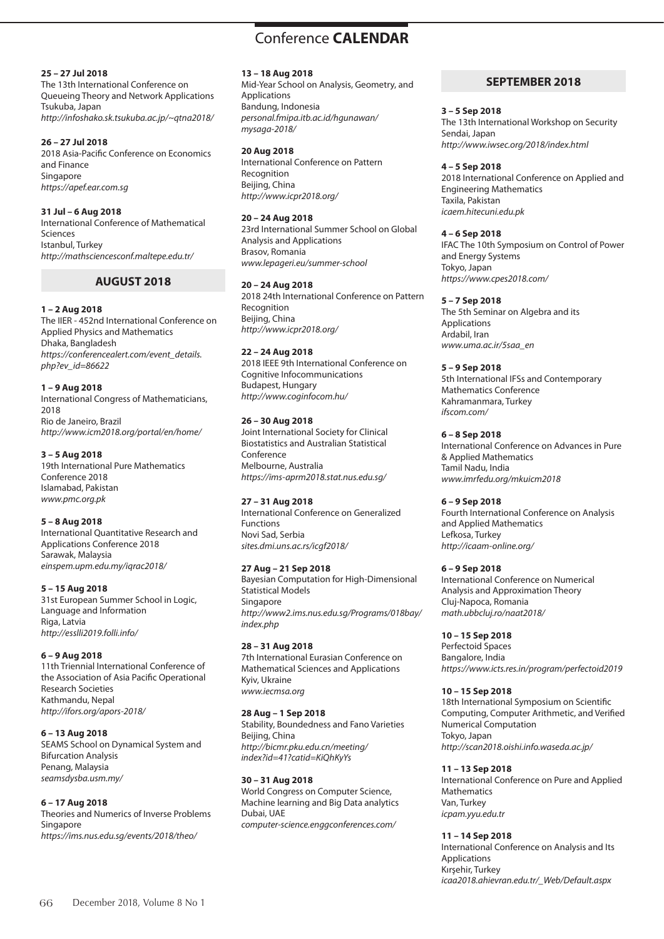## **25 – 27 Jul 2018**

The 13th International Conference on Queueing Theory and Network Applications Tsukuba, Japan *http://infoshako.sk.tsukuba.ac.jp/~qtna2018/*

## **26 – 27 Jul 2018**

2018 Asia-Pacific Conference on Economics and Finance Singapore *https://apef.ear.com.sg*

## **31 Jul – 6 Aug 2018**

International Conference of Mathematical Sciences Istanbul, Turkey *http://mathsciencesconf.maltepe.edu.tr/*

# **AUGUST 2018**

## **1 – 2 Aug 2018**

The IIER - 452nd International Conference on Applied Physics and Mathematics Dhaka, Bangladesh *https://conferencealert.com/event\_details. php?ev\_id=86622*

## **1 – 9 Aug 2018**

International Congress of Mathematicians, 2018 Rio de Janeiro, Brazil *http://www.icm2018.org/portal/en/home/* 

## **3 – 5 Aug 2018**

19th International Pure Mathematics Conference 2018 Islamabad, Pakistan *www.pmc.org.pk*

#### **5 – 8 Aug 2018**

International Quantitative Research and Applications Conference 2018 Sarawak, Malaysia *einspem.upm.edu.my/iqrac2018/*

# **5 – 15 Aug 2018**

31st European Summer School in Logic, Language and Information Riga, Latvia *http://esslli2019.folli.info/*

# **6 – 9 Aug 2018**

11th Triennial International Conference of the Association of Asia Pacific Operational Research Societies Kathmandu, Nepal *http://ifors.org/apors-2018/*

# **6 – 13 Aug 2018**

SEAMS School on Dynamical System and Bifurcation Analysis Penang, Malaysia *seamsdysba.usm.my/*

# **6 – 17 Aug 2018**

Theories and Numerics of Inverse Problems Singapore *https://ims.nus.edu.sg/events/2018/theo/*

#### **13 – 18 Aug 2018**

Mid-Year School on Analysis, Geometry, and Applications Bandung, Indonesia *personal.fmipa.itb.ac.id/hgunawan/ mysaga-2018/*

## **20 Aug 2018**

International Conference on Pattern Recognition Beijing, China *http://www.icpr2018.org/*

#### **20 – 24 Aug 2018**

23rd International Summer School on Global Analysis and Applications Brasov, Romania *www.lepageri.eu/summer-school*

## **20 – 24 Aug 2018**

2018 24th International Conference on Pattern Recognition Beijing, China *http://www.icpr2018.org/*

# **22 – 24 Aug 2018**

2018 IEEE 9th International Conference on Cognitive Infocommunications Budapest, Hungary *http://www.coginfocom.hu/*

## **26 – 30 Aug 2018**

Joint International Society for Clinical Biostatistics and Australian Statistical Conference Melbourne, Australia *https://ims-aprm2018.stat.nus.edu.sg/*

# **27 – 31 Aug 2018**

International Conference on Generalized Functions Novi Sad, Serbia *sites.dmi.uns.ac.rs/icgf2018/*

# **27 Aug – 21 Sep 2018**

Bayesian Computation for High-Dimensional Statistical Models Singapore *http://www2.ims.nus.edu.sg/Programs/018bay/ index.php*

# **28 – 31 Aug 2018**

7th International Eurasian Conference on Mathematical Sciences and Applications Kyiv, Ukraine *www.iecmsa.org*

#### **28 Aug – 1 Sep 2018**

Stability, Boundedness and Fano Varieties Beijing, China *http://bicmr.pku.edu.cn/meeting/ index?id=41?catid=KiQhKyYs*

#### **30 – 31 Aug 2018**

World Congress on Computer Science, Machine learning and Big Data analytics Dubai, UAE *computer-science.enggconferences.com/*

# **SEPTEMBER 2018**

#### **3 – 5 Sep 2018**

The 13th International Workshop on Security Sendai, Japan *http://www.iwsec.org/2018/index.html* 

#### **4 – 5 Sep 2018**

2018 International Conference on Applied and Engineering Mathematics Taxila, Pakistan *icaem.hitecuni.edu.pk*

## **4 – 6 Sep 2018**

IFAC The 10th Symposium on Control of Power and Energy Systems Tokyo, Japan *https://www.cpes2018.com/*

#### **5 – 7 Sep 2018**

The 5th Seminar on Algebra and its Applications Ardabil, Iran *www.uma.ac.ir/5saa\_en*

#### **5 – 9 Sep 2018**

5th International IFSs and Contemporary Mathematics Conference Kahramanmara, Turkey *ifscom.com/*

## **6 – 8 Sep 2018**

International Conference on Advances in Pure & Applied Mathematics Tamil Nadu, India *www.imrfedu.org/mkuicm2018*

# **6 – 9 Sep 2018**

Fourth International Conference on Analysis and Applied Mathematics Lefkosa, Turkey *http://icaam-online.org/*

# **6 – 9 Sep 2018**

International Conference on Numerical Analysis and Approximation Theory Cluj-Napoca, Romania *math.ubbcluj.ro/naat2018/*

# **10 – 15 Sep 2018**

Perfectoid Spaces Bangalore, India *https://www.icts.res.in/program/perfectoid2019*

#### **10 – 15 Sep 2018**

18th International Symposium on Scientific Computing, Computer Arithmetic, and Verified Numerical Computation Tokyo, Japan *http://scan2018.oishi.info.waseda.ac.jp/* 

#### **11 – 13 Sep 2018**

International Conference on Pure and Applied Mathematics Van, Turkey *icpam.yyu.edu.tr*

## **11 – 14 Sep 2018**

International Conference on Analysis and Its Applications Kırşehir, Turkey *icaa2018.ahievran.edu.tr/\_Web/Default.aspx*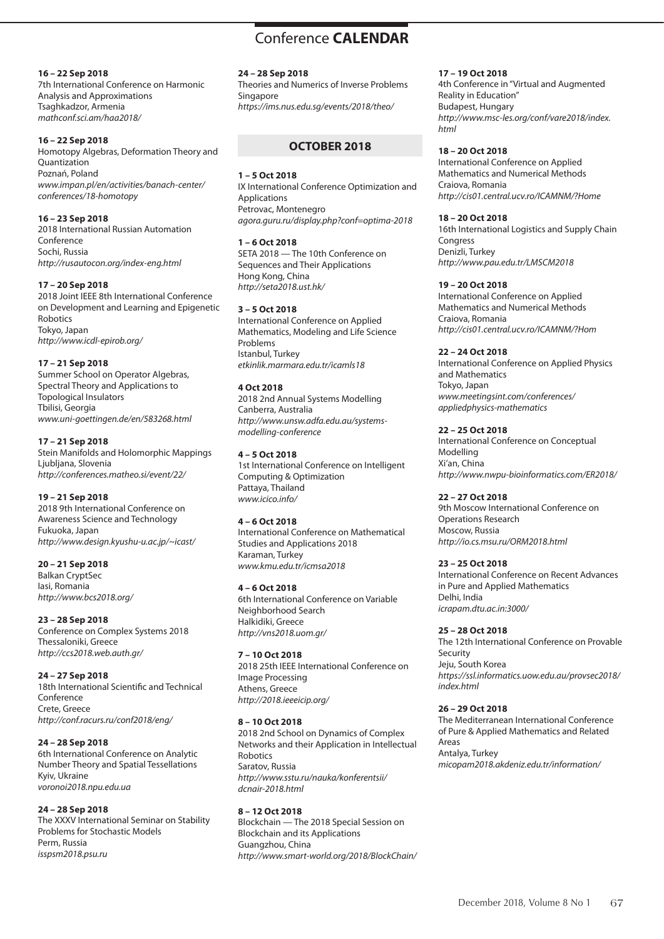# Conference **CALENDAR** Conference **CALENDAR**

#### **16 – 22 Sep 2018**

7th International Conference on Harmonic Analysis and Approximations Tsaghkadzor, Armenia *mathconf.sci.am/haa2018/*

#### **16 – 22 Sep 2018**

Homotopy Algebras, Deformation Theory and Quantization Poznań, Poland *www.impan.pl/en/activities/banach-center/ conferences/18-homotopy*

#### **16 – 23 Sep 2018**

2018 International Russian Automation Conference Sochi, Russia *http://rusautocon.org/index-eng.html*

## **17 – 20 Sep 2018**

2018 Joint IEEE 8th International Conference on Development and Learning and Epigenetic Robotics Tokyo, Japan *http://www.icdl-epirob.org/*

## **17 – 21 Sep 2018**

Summer School on Operator Algebras, Spectral Theory and Applications to Topological Insulators Tbilisi, Georgia *www.uni-goettingen.de/en/583268.html*

## **17 – 21 Sep 2018**

Stein Manifolds and Holomorphic Mappings Liubliana, Slovenia *http://conferences.matheo.si/event/22/*

# **19 – 21 Sep 2018**

2018 9th International Conference on Awareness Science and Technology Fukuoka, Japan *http://www.design.kyushu-u.ac.jp/~icast/*

# **20 – 21 Sep 2018**

Balkan CryptSec Iasi, Romania *http://www.bcs2018.org/*

**23 – 28 Sep 2018** Conference on Complex Systems 2018 Thessaloniki, Greece *http://ccs2018.web.auth.gr/*

#### **24 – 27 Sep 2018**

18th International Scientific and Technical Conference Crete, Greece *http://conf.racurs.ru/conf2018/eng/*

# **24 – 28 Sep 2018**

6th International Conference on Analytic Number Theory and Spatial Tessellations Kyiv, Ukraine *voronoi2018.npu.edu.ua*

# **24 – 28 Sep 2018**

The XXXV International Seminar on Stability Problems for Stochastic Models Perm, Russia *isspsm2018.psu.ru*

#### **24 – 28 Sep 2018**

Theories and Numerics of Inverse Problems Singapore *https://ims.nus.edu.sg/events/2018/theo/*

# **OCTOBER 2018**

#### **1 – 5 Oct 2018**

IX International Conference Optimization and **Applications** Petrovac, Montenegro *agora.guru.ru/display.php?conf=optima-2018*

# **1 – 6 Oct 2018**

SETA 2018 — The 10th Conference on Sequences and Their Applications Hong Kong, China *http://seta2018.ust.hk/*

# **3 – 5 Oct 2018**

International Conference on Applied Mathematics, Modeling and Life Science Problems Istanbul, Turkey *etkinlik.marmara.edu.tr/icamls18*

## **4 Oct 2018**

2018 2nd Annual Systems Modelling Canberra, Australia *http://www.unsw.adfa.edu.au/systemsmodelling-conference*

## **4 – 5 Oct 2018**

1st International Conference on Intelligent Computing & Optimization Pattaya, Thailand *www.icico.info/*

# **4 – 6 Oct 2018**

International Conference on Mathematical Studies and Applications 2018 Karaman, Turkey *www.kmu.edu.tr/icmsa2018*

# **4 – 6 Oct 2018**

6th International Conference on Variable Neighborhood Search Halkidiki, Greece *http://vns2018.uom.gr/*

# **7 – 10 Oct 2018**

2018 25th IEEE International Conference on Image Processing Athens, Greece *http://2018.ieeeicip.org/*

# **8 – 10 Oct 2018**

2018 2nd School on Dynamics of Complex Networks and their Application in Intellectual Robotics Saratov, Russia *http://www.sstu.ru/nauka/konferentsii/ dcnair-2018.html*

#### **8 – 12 Oct 2018**

Blockchain — The 2018 Special Session on Blockchain and its Applications Guangzhou, China *http://www.smart-world.org/2018/BlockChain/*

## **17 – 19 Oct 2018**

4th Conference in "Virtual and Augmented Reality in Education" Budapest, Hungary *http://www.msc-les.org/conf/vare2018/index. html*

#### **18 – 20 Oct 2018**

International Conference on Applied Mathematics and Numerical Methods Craiova, Romania *http://cis01.central.ucv.ro/ICAMNM/?Home*

#### **18 – 20 Oct 2018**

16th International Logistics and Supply Chain **Congress** Denizli, Turkey *http://www.pau.edu.tr/LMSCM2018*

#### **19 – 20 Oct 2018**

International Conference on Applied Mathematics and Numerical Methods Craiova, Romania *http://cis01.central.ucv.ro/ICAMNM/?Hom*

## **22 – 24 Oct 2018**

International Conference on Applied Physics and Mathematics Tokyo, Japan *www.meetingsint.com/conferences/ appliedphysics-mathematics*

# **22 – 25 Oct 2018**

International Conference on Conceptual Modelling Xi'an, China *http://www.nwpu-bioinformatics.com/ER2018/*

# **22 – 27 Oct 2018**

9th Moscow International Conference on Operations Research Moscow, Russia *http://io.cs.msu.ru/ORM2018.html*

# **23 – 25 Oct 2018**

International Conference on Recent Advances in Pure and Applied Mathematics Delhi, India *icrapam.dtu.ac.in:3000/*

#### **25 – 28 Oct 2018**

The 12th International Conference on Provable Security Jeju, South Korea *https://ssl.informatics.uow.edu.au/provsec2018/ index.html*

#### **26 – 29 Oct 2018**

The Mediterranean International Conference of Pure & Applied Mathematics and Related Areas Antalya, Turkey *micopam2018.akdeniz.edu.tr/information/*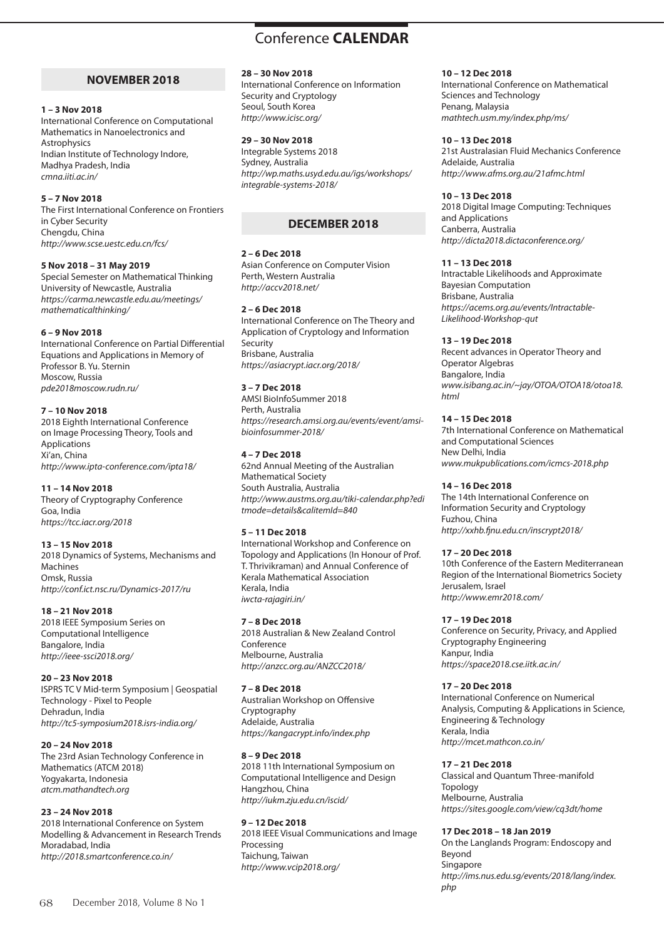# **NOVEMBER 2018**

#### **1 – 3 Nov 2018**

International Conference on Computational Mathematics in Nanoelectronics and Astrophysics Indian Institute of Technology Indore, Madhya Pradesh, India *cmna.iiti.ac.in/* 

# **5 – 7 Nov 2018**

The First International Conference on Frontiers in Cyber Security Chengdu, China *http://www.scse.uestc.edu.cn/fcs/*

# **5 Nov 2018 – 31 May 2019**

Special Semester on Mathematical Thinking University of Newcastle, Australia *https://carma.newcastle.edu.au/meetings/ mathematicalthinking/*

# **6 – 9 Nov 2018**

International Conference on Partial Differential Equations and Applications in Memory of Professor B. Yu. Sternin Moscow, Russia *pde2018moscow.rudn.ru/*

## **7 – 10 Nov 2018**

2018 Eighth International Conference on Image Processing Theory, Tools and Applications Xi'an, China *http://www.ipta-conference.com/ipta18/*

# **11 – 14 Nov 2018**

Theory of Cryptography Conference Goa, India *https://tcc.iacr.org/2018*

# **13 – 15 Nov 2018**

2018 Dynamics of Systems, Mechanisms and Machines Omsk, Russia *http://conf.ict.nsc.ru/Dynamics-2017/ru*

# **18 – 21 Nov 2018**

2018 IEEE Symposium Series on Computational Intelligence Bangalore, India *http://ieee-ssci2018.org/*

# **20 – 23 Nov 2018**

ISPRS TC V Mid-term Symposium | Geospatial Technology - Pixel to People Dehradun, India *http://tc5-symposium2018.isrs-india.org/*

# **20 – 24 Nov 2018**

The 23rd Asian Technology Conference in Mathematics (ATCM 2018) Yogyakarta, Indonesia *atcm.mathandtech.org*

# **23 – 24 Nov 2018**

2018 International Conference on System Modelling & Advancement in Research Trends Moradabad, India *http://2018.smartconference.co.in/*

# **28 – 30 Nov 2018**

International Conference on Information Security and Cryptology Seoul, South Korea *http://www.icisc.org/*

#### **29 – 30 Nov 2018**

Integrable Systems 2018 Sydney, Australia *http://wp.maths.usyd.edu.au/igs/workshops/ integrable-systems-2018/*

# **DECEMBER 2018**

## **2 – 6 Dec 2018**

Asian Conference on Computer Vision Perth, Western Australia *http://accv2018.net/*

## **2 – 6 Dec 2018**

International Conference on The Theory and Application of Cryptology and Information Security Brisbane, Australia *https://asiacrypt.iacr.org/2018/*

# **3 – 7 Dec 2018**

AMSI BioInfoSummer 2018 Perth, Australia *https://research.amsi.org.au/events/event/amsibioinfosummer-2018/*

## **4 – 7 Dec 2018**

62nd Annual Meeting of the Australian Mathematical Society South Australia, Australia *http://www.austms.org.au/tiki-calendar.php?edi tmode=details&calitemId=840*

# **5 – 11 Dec 2018**

International Workshop and Conference on Topology and Applications (In Honour of Prof. T. Thrivikraman) and Annual Conference of Kerala Mathematical Association Kerala, India *iwcta-rajagiri.in/*

#### **7 – 8 Dec 2018**

2018 Australian & New Zealand Control Conference Melbourne, Australia *http://anzcc.org.au/ANZCC2018/*

#### **7 – 8 Dec 2018**

Australian Workshop on Offensive Cryptography Adelaide, Australia *https://kangacrypt.info/index.php*

# **8 – 9 Dec 2018**

2018 11th International Symposium on Computational Intelligence and Design Hangzhou, China *http://iukm.zju.edu.cn/iscid/*

#### **9 – 12 Dec 2018**

2018 IEEE Visual Communications and Image Processing Taichung, Taiwan *http://www.vcip2018.org/*

#### **10 – 12 Dec 2018**

International Conference on Mathematical Sciences and Technology Penang, Malaysia *mathtech.usm.my/index.php/ms/*

#### **10 – 13 Dec 2018**

21st Australasian Fluid Mechanics Conference Adelaide, Australia *http://www.afms.org.au/21afmc.html*

## **10 – 13 Dec 2018**

2018 Digital Image Computing: Techniques and Applications Canberra, Australia *http://dicta2018.dictaconference.org/*

#### **11 – 13 Dec 2018**

Intractable Likelihoods and Approximate Bayesian Computation Brisbane, Australia *https://acems.org.au/events/Intractable-Likelihood-Workshop-qut*

## **13 – 19 Dec 2018**

Recent advances in Operator Theory and Operator Algebras Bangalore, India *www.isibang.ac.in/~jay/OTOA/OTOA18/otoa18. html*

## **14 – 15 Dec 2018**

7th International Conference on Mathematical and Computational Sciences New Delhi, India *www.mukpublications.com/icmcs-2018.php*

# **14 – 16 Dec 2018**

The 14th International Conference on Information Security and Cryptology Fuzhou, China *http://xxhb.fjnu.edu.cn/inscrypt2018/*

# **17 – 20 Dec 2018**

10th Conference of the Eastern Mediterranean Region of the International Biometrics Society Jerusalem, Israel *http://www.emr2018.com/*

#### **17 – 19 Dec 2018**

Conference on Security, Privacy, and Applied Cryptography Engineering Kanpur, India *https://space2018.cse.iitk.ac.in/*

# **17 – 20 Dec 2018**

International Conference on Numerical Analysis, Computing & Applications in Science, Engineering & Technology Kerala, India *http://mcet.mathcon.co.in/*

# **17 – 21 Dec 2018**

Classical and Quantum Three-manifold Topology Melbourne, Australia *https://sites.google.com/view/cq3dt/home*

#### **17 Dec 2018 – 18 Jan 2019**

On the Langlands Program: Endoscopy and Beyond Singapore *http://ims.nus.edu.sg/events/2018/lang/index. php*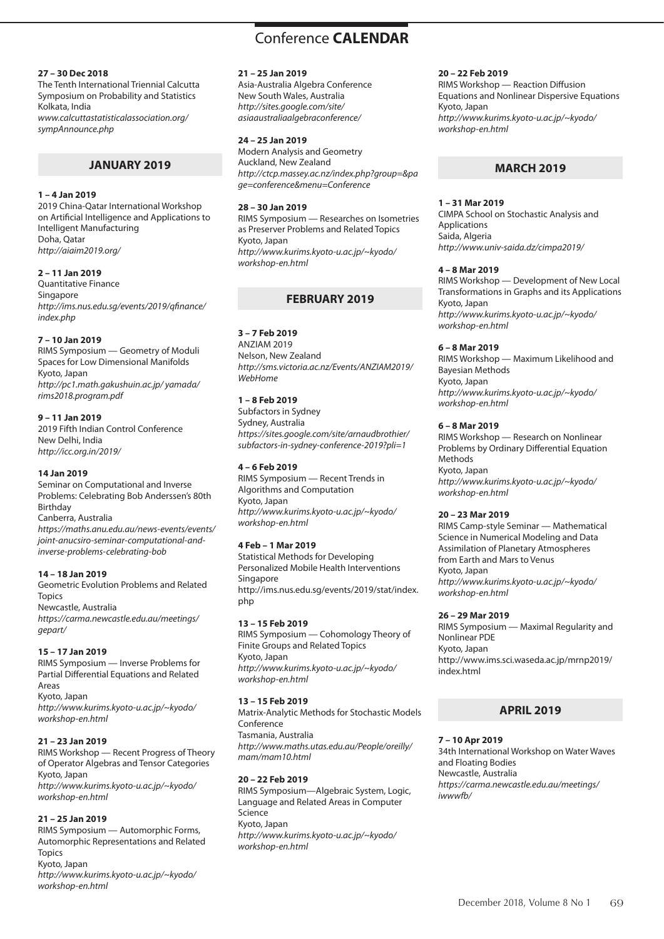# Conference **CALENDAR** Conference **CALENDAR**

## **27 – 30 Dec 2018**

The Tenth International Triennial Calcutta Symposium on Probability and Statistics Kolkata, India *www.calcuttastatisticalassociation.org/ sympAnnounce.php*

# **JANUARY 2019**

#### **1 – 4 Jan 2019**

2019 China-Qatar International Workshop on Artificial Intelligence and Applications to Intelligent Manufacturing Doha, Qatar *http://aiaim2019.org/*

#### **2 – 11 Jan 2019**

Quantitative Finance Singapore *http://ims.nus.edu.sg/events/2019/qfinance/ index.php*

#### **7 – 10 Jan 2019**

RIMS Symposium — Geometry of Moduli Spaces for Low Dimensional Manifolds Kyoto, Japan *http://pc1.math.gakushuin.ac.jp/ yamada/ rims2018.program.pdf*

# **9 – 11 Jan 2019**

2019 Fifth Indian Control Conference New Delhi, India *http://icc.org.in/2019/*

#### **14 Jan 2019**

Seminar on Computational and Inverse Problems: Celebrating Bob Anderssen's 80th Birthday Canberra, Australia *https://maths.anu.edu.au/news-events/events/ joint-anucsiro-seminar-computational-andinverse-problems-celebrating-bob*

#### **14 – 18 Jan 2019**

Geometric Evolution Problems and Related **Topics** Newcastle, Australia *https://carma.newcastle.edu.au/meetings/ gepart/*

#### **15 – 17 Jan 2019**

RIMS Symposium — Inverse Problems for Partial Differential Equations and Related Areas Kyoto, Japan *http://www.kurims.kyoto-u.ac.jp/~kyodo/ workshop-en.html*

#### **21 – 23 Jan 2019**

RIMS Workshop — Recent Progress of Theory of Operator Algebras and Tensor Categories Kyoto, Japan *http://www.kurims.kyoto-u.ac.jp/~kyodo/ workshop-en.html*

#### **21 – 25 Jan 2019**

RIMS Symposium — Automorphic Forms, Automorphic Representations and Related Topics Kyoto, Japan *http://www.kurims.kyoto-u.ac.jp/~kyodo/ workshop-en.html*

# **21 – 25 Jan 2019**

Asia-Australia Algebra Conference New South Wales, Australia *http://sites.google.com/site/ asiaaustraliaalgebraconference/*

#### **24 – 25 Jan 2019**

Modern Analysis and Geometry Auckland, New Zealand *http://ctcp.massey.ac.nz/index.php?group=&pa ge=conference&menu=Conference*

#### **28 – 30 Jan 2019**

RIMS Symposium — Researches on Isometries as Preserver Problems and Related Topics Kyoto, Japan *http://www.kurims.kyoto-u.ac.jp/~kyodo/ workshop-en.html*

# **FEBRUARY 2019**

**3 – 7 Feb 2019**  ANZIAM 2019

Nelson, New Zealand *http://sms.victoria.ac.nz/Events/ANZIAM2019/ WebHome*

#### **1 – 8 Feb 2019**

Subfactors in Sydney Sydney, Australia *https://sites.google.com/site/arnaudbrothier/ subfactors-in-sydney-conference-2019?pli=1*

#### **4 – 6 Feb 2019**

RIMS Symposium — Recent Trends in Algorithms and Computation Kyoto, Japan *http://www.kurims.kyoto-u.ac.jp/~kyodo/ workshop-en.html*

#### **4 Feb – 1 Mar 2019**

Statistical Methods for Developing Personalized Mobile Health Interventions Singapore http://ims.nus.edu.sg/events/2019/stat/index. php

#### **13 – 15 Feb 2019**

RIMS Symposium — Cohomology Theory of Finite Groups and Related Topics Kyoto, Japan *http://www.kurims.kyoto-u.ac.jp/~kyodo/ workshop-en.html*

#### **13 – 15 Feb 2019**

Matrix-Analytic Methods for Stochastic Models Conference Tasmania, Australia *http://www.maths.utas.edu.au/People/oreilly/ mam/mam10.html*

# **20 – 22 Feb 2019**

RIMS Symposium—Algebraic System, Logic, Language and Related Areas in Computer Science Kyoto, Japan *http://www.kurims.kyoto-u.ac.jp/~kyodo/ workshop-en.html*

#### **20 – 22 Feb 2019**

RIMS Workshop — Reaction Diffusion Equations and Nonlinear Dispersive Equations Kyoto, Japan *http://www.kurims.kyoto-u.ac.jp/~kyodo/ workshop-en.html*

# **MARCH 2019**

#### **1 – 31 Mar 2019**

CIMPA School on Stochastic Analysis and Applications Saida, Algeria *http://www.univ-saida.dz/cimpa2019/*

#### **4 – 8 Mar 2019**

RIMS Workshop — Development of New Local Transformations in Graphs and its Applications Kyoto, Japan *http://www.kurims.kyoto-u.ac.jp/~kyodo/ workshop-en.html*

#### **6 – 8 Mar 2019**

RIMS Workshop — Maximum Likelihood and Bayesian Methods Kyoto, Japan *http://www.kurims.kyoto-u.ac.jp/~kyodo/ workshop-en.html*

#### **6 – 8 Mar 2019**

RIMS Workshop — Research on Nonlinear Problems by Ordinary Differential Equation Methods Kyoto, Japan *http://www.kurims.kyoto-u.ac.jp/~kyodo/ workshop-en.html*

#### **20 – 23 Mar 2019**

RIMS Camp-style Seminar — Mathematical Science in Numerical Modeling and Data Assimilation of Planetary Atmospheres from Earth and Mars to Venus Kyoto, Japan *http://www.kurims.kyoto-u.ac.jp/~kyodo/ workshop-en.html*

#### **26 – 29 Mar 2019**

RIMS Symposium — Maximal Regularity and Nonlinear PDE Kyoto, Japan http://www.ims.sci.waseda.ac.jp/mrnp2019/ index.html

# **APRIL 2019**

#### **7 – 10 Apr 2019**

34th International Workshop on Water Waves and Floating Bodies Newcastle, Australia *https://carma.newcastle.edu.au/meetings/ iwwwfb/*